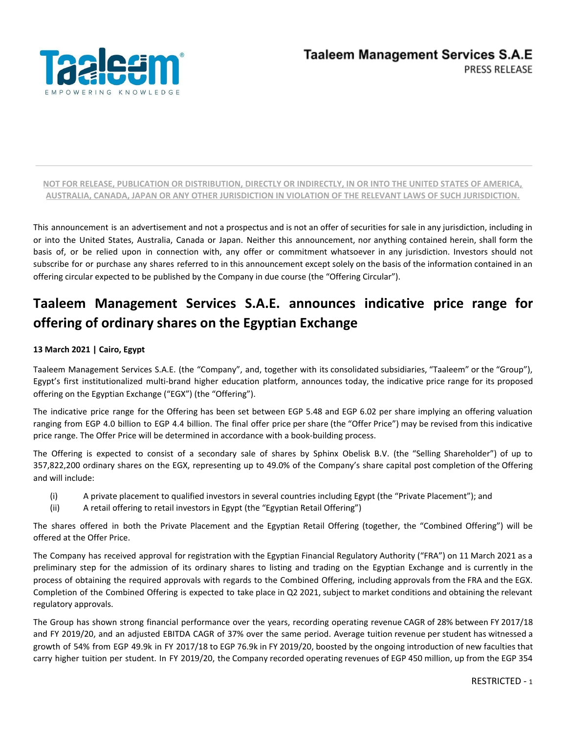

This announcement is an advertisement and not a prospectus and is not an offer of securities for sale in any jurisdiction, including in or into the United States, Australia, Canada or Japan. Neither this announcement, nor anything contained herein, shall form the basis of, or be relied upon in connection with, any offer or commitment whatsoever in any jurisdiction. Investors should not subscribe for or purchase any shares referred to in this announcement except solely on the basis of the information contained in an offering circular expected to be published by the Company in due course (the "Offering Circular").

# **Taaleem Management Services S.A.E. announces indicative price range for offering of ordinary shares on the Egyptian Exchange**

# **13 March 2021 | Cairo, Egypt**

Taaleem Management Services S.A.E. (the "Company", and, together with its consolidated subsidiaries, "Taaleem" or the "Group"), Egypt's first institutionalized multi-brand higher education platform, announces today, the indicative price range for its proposed offering on the Egyptian Exchange ("EGX") (the "Offering").

The indicative price range for the Offering has been set between EGP 5.48 and EGP 6.02 per share implying an offering valuation ranging from EGP 4.0 billion to EGP 4.4 billion. The final offer price per share (the "Offer Price") may be revised from this indicative price range. The Offer Price will be determined in accordance with a book-building process.

The Offering is expected to consist of a secondary sale of shares by Sphinx Obelisk B.V. (the "Selling Shareholder") of up to 357,822,200 ordinary shares on the EGX, representing up to 49.0% of the Company's share capital post completion of the Offering and will include:

- (i) A private placement to qualified investors in several countries including Egypt (the "Private Placement"); and
- (ii) A retail offering to retail investors in Egypt (the "Egyptian Retail Offering")

The shares offered in both the Private Placement and the Egyptian Retail Offering (together, the "Combined Offering") will be offered at the Offer Price.

The Company has received approval for registration with the Egyptian Financial Regulatory Authority ("FRA") on 11 March 2021 as a preliminary step for the admission of its ordinary shares to listing and trading on the Egyptian Exchange and is currently in the process of obtaining the required approvals with regards to the Combined Offering, including approvals from the FRA and the EGX. Completion of the Combined Offering is expected to take place in Q2 2021, subject to market conditions and obtaining the relevant regulatory approvals.

The Group has shown strong financial performance over the years, recording operating revenue CAGR of 28% between FY 2017/18 and FY 2019/20, and an adjusted EBITDA CAGR of 37% over the same period. Average tuition revenue per student has witnessed a growth of 54% from EGP 49.9k in FY 2017/18 to EGP 76.9k in FY 2019/20, boosted by the ongoing introduction of new faculties that carry higher tuition per student. In FY 2019/20, the Company recorded operating revenues of EGP 450 million, up from the EGP 354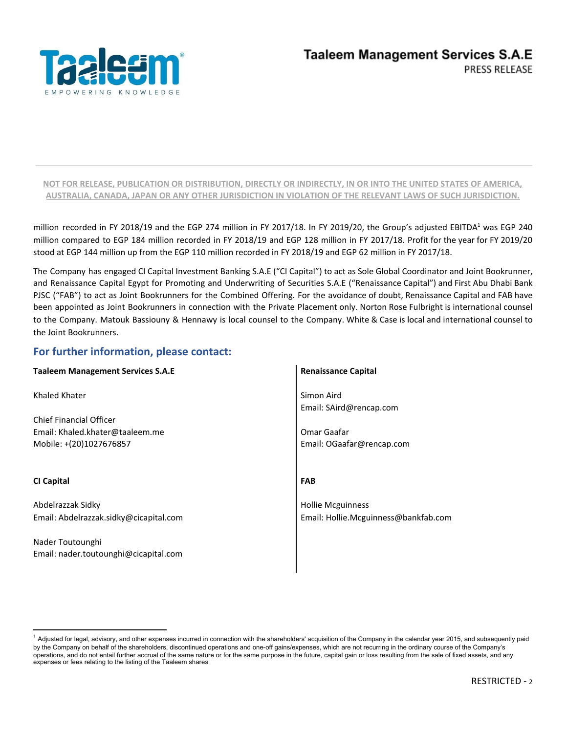

million recorded in FY 2018/19 and the EGP 274 million in FY 2017/18. In FY 2019/20, the Group's adjusted EBITDA<sup>1</sup> was EGP 240 million compared to EGP 184 million recorded in FY 2018/19 and EGP 128 million in FY 2017/18. Profit for the year for FY 2019/20 stood at EGP 144 million up from the EGP 110 million recorded in FY 2018/19 and EGP 62 million in FY 2017/18.

The Company has engaged CI Capital Investment Banking S.A.E ("CI Capital") to act as Sole Global Coordinator and Joint Bookrunner, and Renaissance Capital Egypt for Promoting and Underwriting of Securities S.A.E ("Renaissance Capital") and First Abu Dhabi Bank PJSC ("FAB") to act as Joint Bookrunners for the Combined Offering. For the avoidance of doubt, Renaissance Capital and FAB have been appointed as Joint Bookrunners in connection with the Private Placement only. Norton Rose Fulbright is international counsel to the Company. Matouk Bassiouny & Hennawy is local counsel to the Company. White & Case is local and international counsel to the Joint Bookrunners.

# **For further information, please contact:**

| <b>Taaleem Management Services S.A.E</b> | <b>Renaissance Capital</b>           |
|------------------------------------------|--------------------------------------|
| Khaled Khater                            | Simon Aird                           |
|                                          | Email: SAird@rencap.com              |
| <b>Chief Financial Officer</b>           |                                      |
| Email: Khaled.khater@taaleem.me          | Omar Gaafar                          |
| Mobile: +(20)1027676857                  | Email: OGaafar@rencap.com            |
|                                          |                                      |
| <b>CI Capital</b>                        | <b>FAB</b>                           |
| Abdelrazzak Sidky                        | <b>Hollie Mcguinness</b>             |
| Email: Abdelrazzak.sidky@cicapital.com   | Email: Hollie.Mcguinness@bankfab.com |
| Nader Toutounghi                         |                                      |
| Email: nader.toutounghi@cicapital.com    |                                      |
|                                          |                                      |

 $^1$  Adjusted for legal, advisory, and other expenses incurred in connection with the shareholders' acquisition of the Company in the calendar year 2015, and subsequently paid by the Company on behalf of the shareholders, discontinued operations and one-off gains/expenses, which are not recurring in the ordinary course of the Company's operations, and do not entail further accrual of the same nature or for the same purpose in the future, capital gain or loss resulting from the sale of fixed assets, and any expenses or fees relating to the listing of the Taaleem shares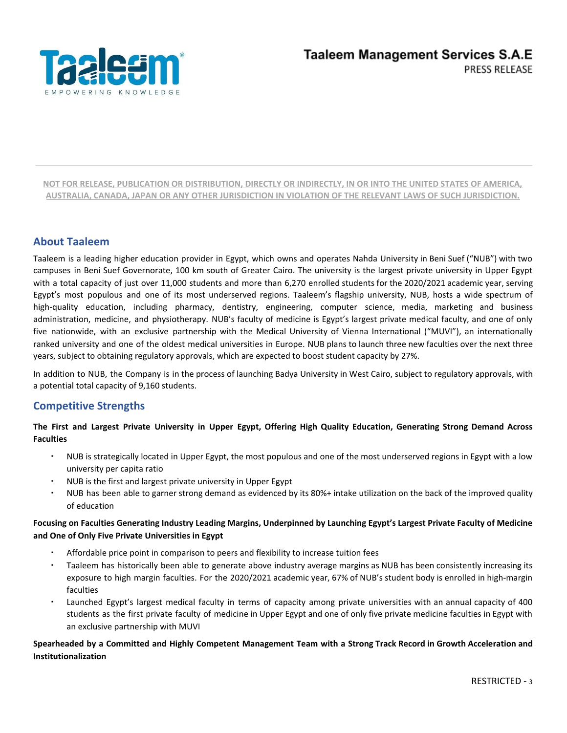

# **About Taaleem**

Taaleem is a leading higher education provider in Egypt, which owns and operates Nahda University in Beni Suef ("NUB") with two campuses in Beni Suef Governorate, 100 km south of Greater Cairo. The university is the largest private university in Upper Egypt with a total capacity of just over 11,000 students and more than 6,270 enrolled students for the 2020/2021 academic year, serving Egypt's most populous and one of its most underserved regions. Taaleem's flagship university, NUB, hosts a wide spectrum of high-quality education, including pharmacy, dentistry, engineering, computer science, media, marketing and business administration, medicine, and physiotherapy. NUB's faculty of medicine is Egypt's largest private medical faculty, and one of only five nationwide, with an exclusive partnership with the Medical University of Vienna International ("MUVI"), an internationally ranked university and one of the oldest medical universities in Europe. NUB plans to launch three new faculties over the next three years, subject to obtaining regulatory approvals, which are expected to boost student capacity by 27%.

In addition to NUB, the Company is in the process of launching Badya University in West Cairo, subject to regulatory approvals, with a potential total capacity of 9,160 students.

# **Competitive Strengths**

The First and Largest Private University in Upper Egypt, Offering High Quality Education, Generating Strong Demand Across **Faculties**

- NUB is strategically located in Upper Egypt, the most populous and one of the most underserved regions in Egypt with a low university per capita ratio
- NUB is the first and largest private university in Upper Egypt
- NUB has been able to garner strong demand as evidenced by its 80%+ intake utilization on the back of the improved quality of education

## Focusing on Faculties Generating Industry Leading Margins, Underpinned by Launching Egypt's Largest Private Faculty of Medicine **and One of Only Five Private Universities in Egypt**

- Affordable price point in comparison to peers and flexibility to increase tuition fees
- Taaleem has historically been able to generate above industry average margins as NUB has been consistently increasing its exposure to high margin faculties. For the 2020/2021 academic year, 67% of NUB's student body is enrolled in high-margin faculties
- Launched Egypt's largest medical faculty in terms of capacity among private universities with an annual capacity of 400 students as the first private faculty of medicine in Upper Egypt and one of only five private medicine faculties in Egypt with an exclusive partnership with MUVI

## Spearheaded by a Committed and Highly Competent Management Team with a Strong Track Record in Growth Acceleration and **Institutionalization**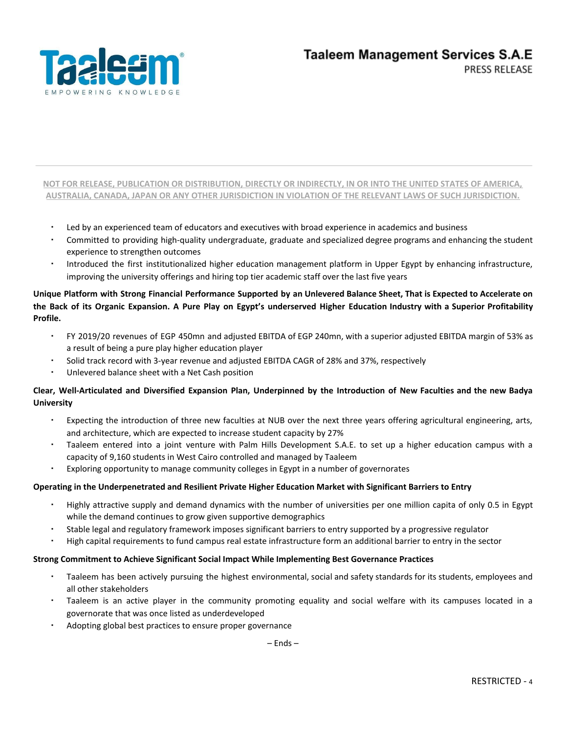

- Led by an experienced team of educators and executives with broad experience in academics and business
- Committed to providing high-quality undergraduate, graduate and specialized degree programs and enhancing the student experience to strengthen outcomes
- Introduced the first institutionalized higher education management platform in Upper Egypt by enhancing infrastructure, improving the university offerings and hiring top tier academic staff over the last five years

## Unique Platform with Strong Financial Performance Supported by an Unlevered Balance Sheet, That is Expected to Accelerate on the Back of its Organic Expansion. A Pure Play on Egypt's underserved Higher Education Industry with a Superior Profitability **Profile.**

- FY 2019/20 revenues of EGP 450mn and adjusted EBITDA of EGP 240mn, with a superior adjusted EBITDA margin of 53% as a result of being a pure play higher education player
- Solid track record with 3-year revenue and adjusted EBITDA CAGR of 28% and 37%, respectively
- Unlevered balance sheet with a Net Cash position

## Clear, Well-Articulated and Diversified Expansion Plan, Underpinned by the Introduction of New Faculties and the new Badya **University**

- Expecting the introduction of three new faculties at NUB over the next three years offering agricultural engineering, arts, and architecture, which are expected to increase student capacity by 27%
- Taaleem entered into a joint venture with Palm Hills Development S.A.E. to set up a higher education campus with a capacity of 9,160 students in West Cairo controlled and managed by Taaleem
- Exploring opportunity to manage community colleges in Egypt in a number of governorates

#### **Operating in the Underpenetrated and Resilient Private Higher Education Market with Significant Barriers to Entry**

- Highly attractive supply and demand dynamics with the number of universities per one million capita of only 0.5 in Egypt while the demand continues to grow given supportive demographics
- Stable legal and regulatory framework imposes significant barriers to entry supported by a progressive regulator
- High capital requirements to fund campus real estate infrastructure form an additional barrier to entry in the sector

#### **Strong Commitment to Achieve Significant Social Impact While Implementing Best Governance Practices**

- Taaleem has been actively pursuing the highest environmental, social and safety standards for its students, employees and all other stakeholders
- Taaleem is an active player in the community promoting equality and social welfare with its campuses located in a governorate that was once listed as underdeveloped
- Adopting global best practices to ensure proper governance

– Ends –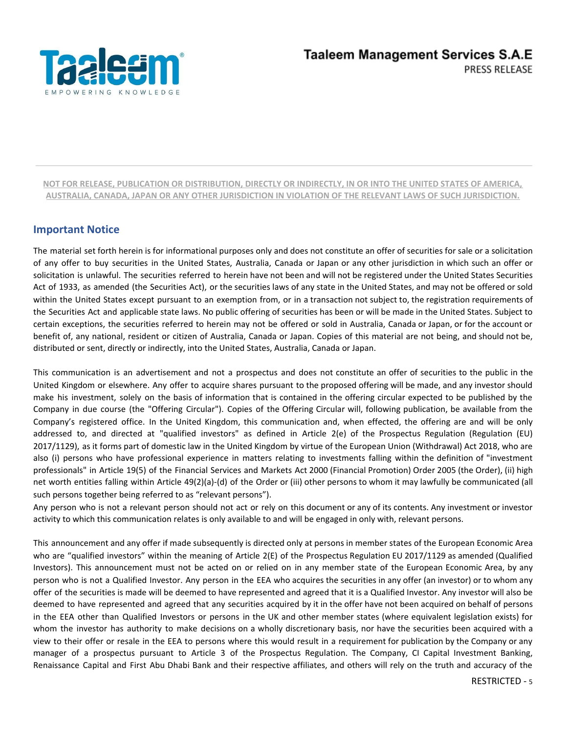

# **Important Notice**

The material set forth herein is for informational purposes only and does not constitute an offer of securities for sale or a solicitation of any offer to buy securities in the United States, Australia, Canada or Japan or any other jurisdiction in which such an offer or solicitation is unlawful. The securities referred to herein have not been and will not be registered under the United States Securities Act of 1933, as amended (the Securities Act), or the securities laws of any state in the United States, and may not be offered or sold within the United States except pursuant to an exemption from, or in a transaction not subject to, the registration requirements of the Securities Act and applicable state laws. No public offering of securities has been or will be made in the United States. Subject to certain exceptions, the securities referred to herein may not be offered or sold in Australia, Canada or Japan, or for the account or benefit of, any national, resident or citizen of Australia, Canada or Japan. Copies of this material are not being, and should not be, distributed or sent, directly or indirectly, into the United States, Australia, Canada or Japan.

This communication is an advertisement and not a prospectus and does not constitute an offer of securities to the public in the United Kingdom or elsewhere. Any offer to acquire shares pursuant to the proposed offering will be made, and any investor should make his investment, solely on the basis of information that is contained in the offering circular expected to be published by the Company in due course (the "Offering Circular"). Copies of the Offering Circular will, following publication, be available from the Company's registered office. In the United Kingdom, this communication and, when effected, the offering are and will be only addressed to, and directed at "qualified investors" as defined in Article 2(e) of the Prospectus Regulation (Regulation (EU) 2017/1129), as it forms part of domestic law in the United Kingdom by virtue of the European Union (Withdrawal) Act 2018, who are also (i) persons who have professional experience in matters relating to investments falling within the definition of "investment professionals" in Article 19(5) of the Financial Services and Markets Act 2000 (Financial Promotion) Order 2005 (the Order), (ii) high net worth entities falling within Article 49(2)(a)-(d) of the Order or (iii) other persons to whom it may lawfully be communicated (all such persons together being referred to as "relevant persons").

Any person who is not a relevant person should not act or rely on this document or any of its contents. Any investment or investor activity to which this communication relates is only available to and will be engaged in only with, relevant persons.

This announcement and any offer if made subsequently is directed only at persons in member states of the European Economic Area who are "qualified investors" within the meaning of Article 2(E) of the Prospectus Regulation EU 2017/1129 as amended (Qualified Investors). This announcement must not be acted on or relied on in any member state of the European Economic Area, by any person who is not a Qualified Investor. Any person in the EEA who acquires the securities in any offer (an investor) or to whom any offer of the securities is made will be deemed to have represented and agreed that it is a Qualified Investor. Any investor will also be deemed to have represented and agreed that any securities acquired by it in the offer have not been acquired on behalf of persons in the EEA other than Qualified Investors or persons in the UK and other member states (where equivalent legislation exists) for whom the investor has authority to make decisions on a wholly discretionary basis, nor have the securities been acquired with a view to their offer or resale in the EEA to persons where this would result in a requirement for publication by the Company or any manager of a prospectus pursuant to Article 3 of the Prospectus Regulation. The Company, CI Capital Investment Banking, Renaissance Capital and First Abu Dhabi Bank and their respective affiliates, and others will rely on the truth and accuracy of the